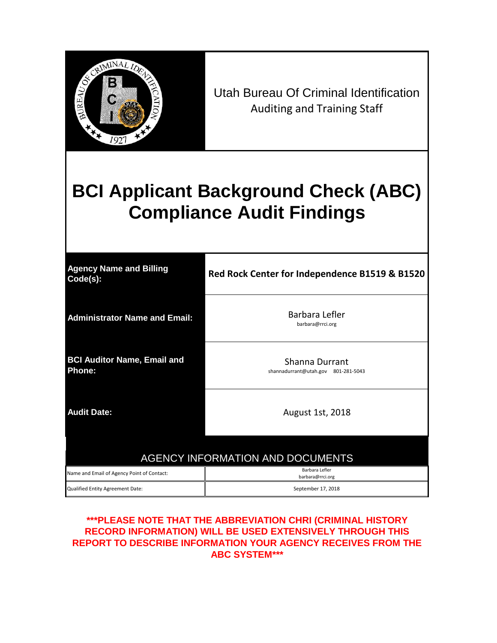

Utah Bureau Of Criminal Identification Auditing and Training Staff

# **BCI Applicant Background Check (ABC) Compliance Audit Findings**

| <b>Agency Name and Billing</b><br>Code(s):   | Red Rock Center for Independence B1519 & B1520            |
|----------------------------------------------|-----------------------------------------------------------|
| <b>Administrator Name and Email:</b>         | Barbara Lefler<br>barbara@rrci.org                        |
| <b>BCI Auditor Name, Email and</b><br>Phone: | Shanna Durrant<br>shannadurrant@utah.gov 801-281-5043     |
| <b>Audit Date:</b>                           | August 1st, 2018                                          |
|                                              | <b>AGENCY INFORMATION AND DOCUMENTS</b><br>Barbara Lefler |
| Name and Email of Agency Point of Contact:   | barbara@rrci.org                                          |
| Qualified Entity Agreement Date:             | September 17, 2018                                        |

## **\*\*\*PLEASE NOTE THAT THE ABBREVIATION CHRI (CRIMINAL HISTORY RECORD INFORMATION) WILL BE USED EXTENSIVELY THROUGH THIS REPORT TO DESCRIBE INFORMATION YOUR AGENCY RECEIVES FROM THE ABC SYSTEM\*\*\***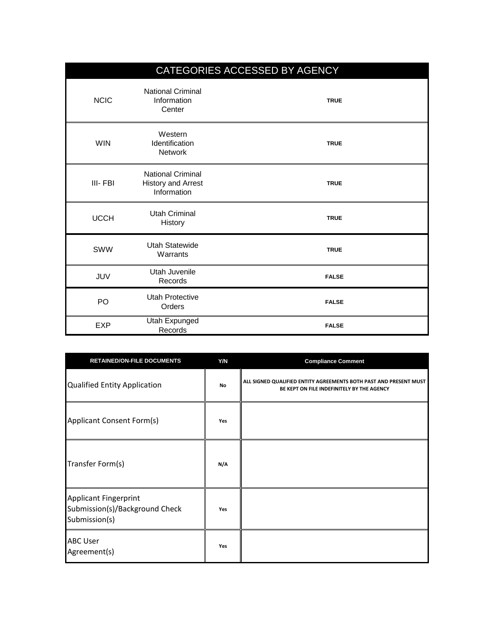|                |                                                                      | CATEGORIES ACCESSED BY AGENCY |
|----------------|----------------------------------------------------------------------|-------------------------------|
| <b>NCIC</b>    | <b>National Criminal</b><br>Information<br>Center                    | <b>TRUE</b>                   |
| <b>WIN</b>     | Western<br>Identification<br><b>Network</b>                          | <b>TRUE</b>                   |
| III-FBI        | <b>National Criminal</b><br><b>History and Arrest</b><br>Information | <b>TRUE</b>                   |
| <b>UCCH</b>    | Utah Criminal<br>History                                             | <b>TRUE</b>                   |
| <b>SWW</b>     | Utah Statewide<br>Warrants                                           | <b>TRUE</b>                   |
| JUV            | Utah Juvenile<br>Records                                             | <b>FALSE</b>                  |
| P <sub>O</sub> | <b>Utah Protective</b><br>Orders                                     | <b>FALSE</b>                  |
| <b>EXP</b>     | Utah Expunged<br>Records                                             | <b>FALSE</b>                  |

| <b>RETAINED/ON-FILE DOCUMENTS</b>                                               | Y/N | <b>Compliance Comment</b>                                                                                       |
|---------------------------------------------------------------------------------|-----|-----------------------------------------------------------------------------------------------------------------|
| Qualified Entity Application                                                    | No  | ALL SIGNED QUALIFIED ENTITY AGREEMENTS BOTH PAST AND PRESENT MUST<br>BE KEPT ON FILE INDEFINITELY BY THE AGENCY |
| Applicant Consent Form(s)                                                       | Yes |                                                                                                                 |
| Transfer Form(s)                                                                | N/A |                                                                                                                 |
| <b>Applicant Fingerprint</b><br>Submission(s)/Background Check<br>Submission(s) | Yes |                                                                                                                 |
| <b>ABC User</b><br>Agreement(s)                                                 | Yes |                                                                                                                 |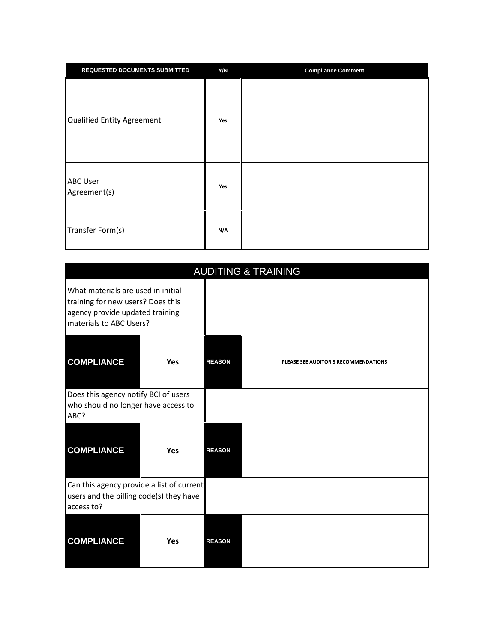| <b>REQUESTED DOCUMENTS SUBMITTED</b> | Y/N | <b>Compliance Comment</b> |
|--------------------------------------|-----|---------------------------|
| Qualified Entity Agreement           | Yes |                           |
| <b>ABC User</b><br>Agreement(s)      | Yes |                           |
| Transfer Form(s)                     | N/A |                           |

|                                                                                                                                       | <b>AUDITING &amp; TRAINING</b> |               |                                      |  |
|---------------------------------------------------------------------------------------------------------------------------------------|--------------------------------|---------------|--------------------------------------|--|
| What materials are used in initial<br>training for new users? Does this<br>agency provide updated training<br>materials to ABC Users? |                                |               |                                      |  |
| <b>COMPLIANCE</b>                                                                                                                     | Yes                            | <b>REASON</b> | PLEASE SEE AUDITOR'S RECOMMENDATIONS |  |
| Does this agency notify BCI of users<br>who should no longer have access to<br>ABC?                                                   |                                |               |                                      |  |
| <b>COMPLIANCE</b>                                                                                                                     | Yes                            | <b>REASON</b> |                                      |  |
| Can this agency provide a list of current<br>users and the billing code(s) they have<br>access to?                                    |                                |               |                                      |  |
| <b>COMPLIANCE</b>                                                                                                                     | Yes                            | <b>REASON</b> |                                      |  |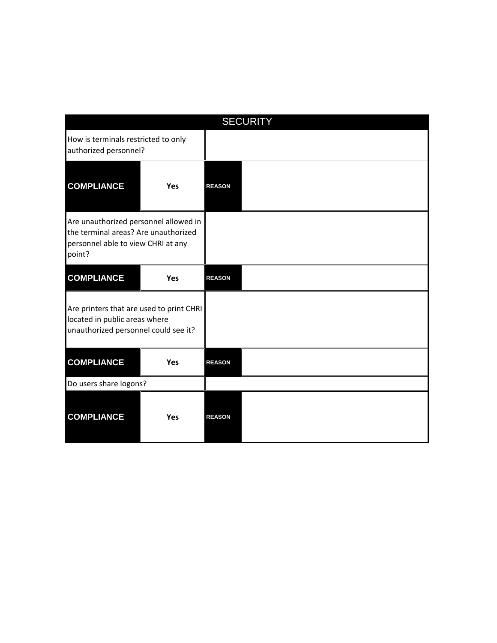| <b>SECURITY</b>                                                                                                               |            |               |  |
|-------------------------------------------------------------------------------------------------------------------------------|------------|---------------|--|
| How is terminals restricted to only<br>authorized personnel?                                                                  |            |               |  |
| <b>COMPLIANCE</b>                                                                                                             | Yes        | <b>REASON</b> |  |
| Are unauthorized personnel allowed in<br>the terminal areas? Are unauthorized<br>personnel able to view CHRI at any<br>point? |            |               |  |
| <b>COMPLIANCE</b>                                                                                                             | Yes        | <b>REASON</b> |  |
| Are printers that are used to print CHRI<br>located in public areas where<br>unauthorized personnel could see it?             |            |               |  |
| <b>COMPLIANCE</b>                                                                                                             | <b>Yes</b> | <b>REASON</b> |  |
| Do users share logons?                                                                                                        |            |               |  |
| <b>COMPLIANCE</b>                                                                                                             | <b>Yes</b> | <b>REASON</b> |  |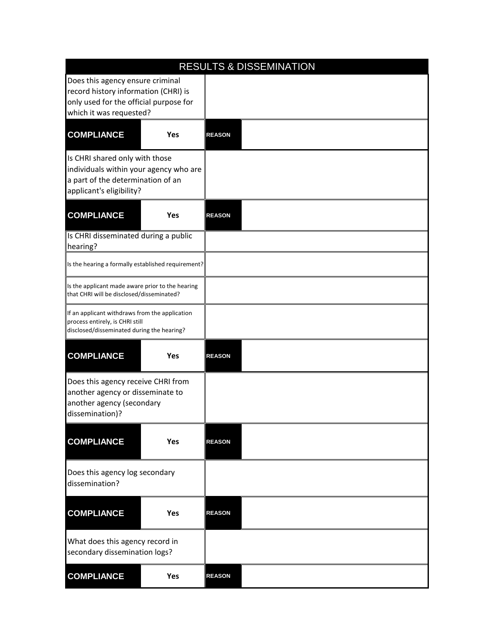| <b>RESULTS &amp; DISSEMINATION</b>                                                                                                            |     |               |  |  |
|-----------------------------------------------------------------------------------------------------------------------------------------------|-----|---------------|--|--|
| Does this agency ensure criminal<br>record history information (CHRI) is<br>only used for the official purpose for<br>which it was requested? |     |               |  |  |
| <b>COMPLIANCE</b>                                                                                                                             | Yes | <b>REASON</b> |  |  |
| Is CHRI shared only with those<br>individuals within your agency who are<br>a part of the determination of an<br>applicant's eligibility?     |     |               |  |  |
| <b>COMPLIANCE</b>                                                                                                                             | Yes | <b>REASON</b> |  |  |
| Is CHRI disseminated during a public<br>hearing?                                                                                              |     |               |  |  |
| Is the hearing a formally established requirement?                                                                                            |     |               |  |  |
| Is the applicant made aware prior to the hearing<br>that CHRI will be disclosed/disseminated?                                                 |     |               |  |  |
| If an applicant withdraws from the application<br>process entirely, is CHRI still<br>disclosed/disseminated during the hearing?               |     |               |  |  |
| <b>COMPLIANCE</b>                                                                                                                             | Yes | <b>REASON</b> |  |  |
| Does this agency receive CHRI from<br>another agency or disseminate to<br>another agency (secondary<br>dissemination)?                        |     |               |  |  |
| <b>COMPLIANCE</b>                                                                                                                             | Yes | <b>REASON</b> |  |  |
| Does this agency log secondary<br>dissemination?                                                                                              |     |               |  |  |
| <b>COMPLIANCE</b>                                                                                                                             | Yes | <b>REASON</b> |  |  |
| What does this agency record in<br>secondary dissemination logs?                                                                              |     |               |  |  |
| <b>COMPLIANCE</b>                                                                                                                             | Yes | <b>REASON</b> |  |  |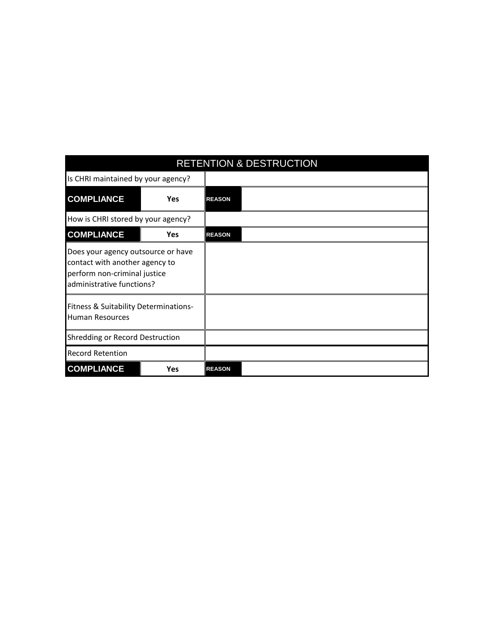| <b>RETENTION &amp; DESTRUCTION</b>                                                                                                |            |               |  |  |
|-----------------------------------------------------------------------------------------------------------------------------------|------------|---------------|--|--|
| Is CHRI maintained by your agency?                                                                                                |            |               |  |  |
| <b>COMPLIANCE</b>                                                                                                                 | Yes        | <b>REASON</b> |  |  |
| How is CHRI stored by your agency?                                                                                                |            |               |  |  |
| <b>COMPLIANCE</b>                                                                                                                 | <b>Yes</b> | <b>REASON</b> |  |  |
| Does your agency outsource or have<br>contact with another agency to<br>perform non-criminal justice<br>administrative functions? |            |               |  |  |
| Fitness & Suitability Determinations-<br><b>Human Resources</b>                                                                   |            |               |  |  |
| <b>Shredding or Record Destruction</b>                                                                                            |            |               |  |  |
| <b>Record Retention</b>                                                                                                           |            |               |  |  |
| <b>COMPLIANCE</b>                                                                                                                 | <b>Yes</b> | <b>REASON</b> |  |  |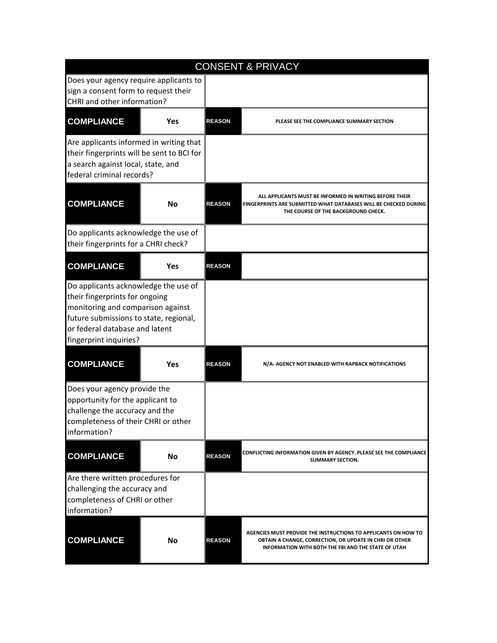|                                                                                                                                                                                                                   |            | <b>CONSENT &amp; PRIVACY</b> |                                                                                                                                                                                  |
|-------------------------------------------------------------------------------------------------------------------------------------------------------------------------------------------------------------------|------------|------------------------------|----------------------------------------------------------------------------------------------------------------------------------------------------------------------------------|
| Does your agency require applicants to<br>sign a consent form to request their<br>CHRI and other information?                                                                                                     |            |                              |                                                                                                                                                                                  |
| <b>COMPLIANCE</b>                                                                                                                                                                                                 | <b>Yes</b> | <b>REASON</b>                | PLEASE SEE THE COMPLIANCE SUMMARY SECTION                                                                                                                                        |
| Are applicants informed in writing that<br>their fingerprints will be sent to BCI for<br>a search against local, state, and<br>federal criminal records?                                                          |            |                              |                                                                                                                                                                                  |
| <b>COMPLIANCE</b>                                                                                                                                                                                                 | <b>No</b>  | <b>REASON</b>                | ALL APPLICANTS MUST BE INFORMED IN WRITING BEFORE THEIR<br>FINGERPRINTS ARE SUBMITTED WHAT DATABASES WILL BE CHECKED DURING<br>THE COURSE OF THE BACKGROUND CHECK.               |
| Do applicants acknowledge the use of<br>their fingerprints for a CHRI check?                                                                                                                                      |            |                              |                                                                                                                                                                                  |
| <b>COMPLIANCE</b>                                                                                                                                                                                                 | <b>Yes</b> | <b>REASON</b>                |                                                                                                                                                                                  |
| Do applicants acknowledge the use of<br>their fingerprints for ongoing<br>monitoring and comparison against<br>future submissions to state, regional,<br>or federal database and latent<br>fingerprint inquiries? |            |                              |                                                                                                                                                                                  |
| <b>COMPLIANCE</b>                                                                                                                                                                                                 | <b>Yes</b> | <b>REASON</b>                | N/A- AGENCY NOT ENABLED WITH RAPBACK NOTIFICATIONS                                                                                                                               |
| Does your agency provide the<br>opportunity for the applicant to<br>challenge the accuracy and the<br>completeness of their CHRI or other<br>information?                                                         |            |                              |                                                                                                                                                                                  |
| <b>COMPLIANCE</b>                                                                                                                                                                                                 | No         | <b>REASON</b>                | CONFLICTING INFORMATION GIVEN BY AGENCY. PLEASE SEE THE COMPLIANCE<br>SUMMARY SECTION.                                                                                           |
| Are there written procedures for<br>challenging the accuracy and<br>completeness of CHRI or other<br>information?                                                                                                 |            |                              |                                                                                                                                                                                  |
| <b>COMPLIANCE</b>                                                                                                                                                                                                 | <b>No</b>  | <b>REASON</b>                | AGENCIES MUST PROVIDE THE INSTRUCTIONS TO APPLICANTS ON HOW TO<br>OBTAIN A CHANGE, CORRECTION, OR UPDATE IN CHRI OR OTHER<br>INFORMATION WITH BOTH THE FBI AND THE STATE OF UTAH |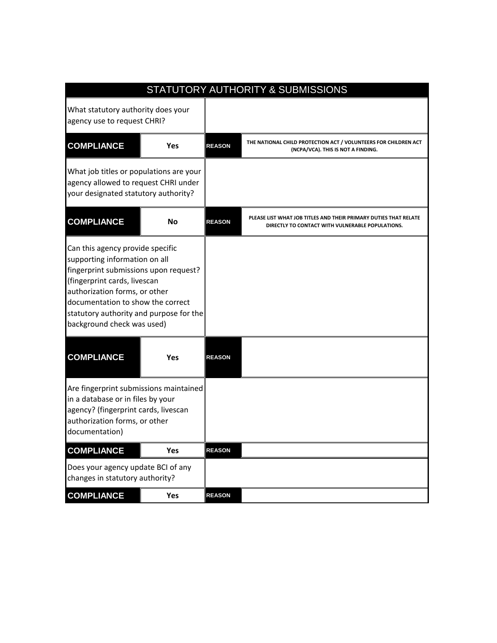|                                                                                                                                                                                                                                                                                           |            |               | STATUTORY AUTHORITY & SUBMISSIONS                                                                                    |
|-------------------------------------------------------------------------------------------------------------------------------------------------------------------------------------------------------------------------------------------------------------------------------------------|------------|---------------|----------------------------------------------------------------------------------------------------------------------|
| What statutory authority does your<br>agency use to request CHRI?                                                                                                                                                                                                                         |            |               |                                                                                                                      |
| <b>COMPLIANCE</b>                                                                                                                                                                                                                                                                         | <b>Yes</b> | <b>REASON</b> | THE NATIONAL CHILD PROTECTION ACT / VOLUNTEERS FOR CHILDREN ACT<br>(NCPA/VCA). THIS IS NOT A FINDING.                |
| What job titles or populations are your<br>agency allowed to request CHRI under<br>your designated statutory authority?                                                                                                                                                                   |            |               |                                                                                                                      |
| <b>COMPLIANCE</b>                                                                                                                                                                                                                                                                         | <b>No</b>  | <b>REASON</b> | PLEASE LIST WHAT JOB TITLES AND THEIR PRIMARY DUTIES THAT RELATE<br>DIRECTLY TO CONTACT WITH VULNERABLE POPULATIONS. |
| Can this agency provide specific<br>supporting information on all<br>fingerprint submissions upon request?<br>(fingerprint cards, livescan<br>authorization forms, or other<br>documentation to show the correct<br>statutory authority and purpose for the<br>background check was used) |            |               |                                                                                                                      |
| <b>COMPLIANCE</b>                                                                                                                                                                                                                                                                         | <b>Yes</b> | <b>REASON</b> |                                                                                                                      |
| Are fingerprint submissions maintained<br>in a database or in files by your<br>agency? (fingerprint cards, livescan<br>authorization forms, or other<br>documentation)                                                                                                                    |            |               |                                                                                                                      |
| <b>COMPLIANCE</b>                                                                                                                                                                                                                                                                         | Yes        | <b>REASON</b> |                                                                                                                      |
| Does your agency update BCI of any<br>changes in statutory authority?                                                                                                                                                                                                                     |            |               |                                                                                                                      |
| <b>COMPLIANCE</b>                                                                                                                                                                                                                                                                         | <b>Yes</b> | <b>REASON</b> |                                                                                                                      |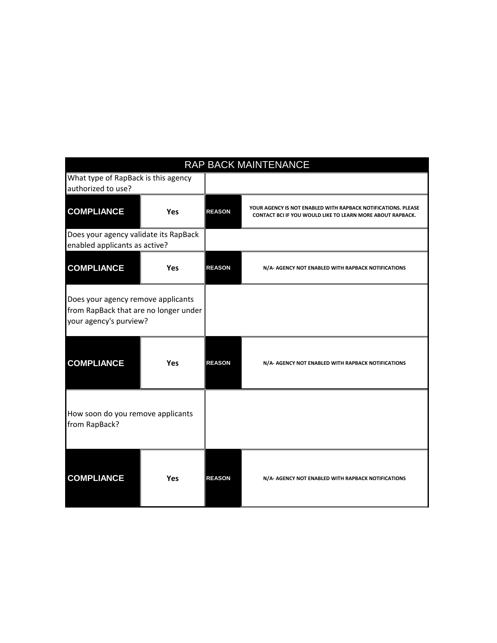| RAP BACK MAINTENANCE                                                                                  |            |               |                                                                                                                                    |  |
|-------------------------------------------------------------------------------------------------------|------------|---------------|------------------------------------------------------------------------------------------------------------------------------------|--|
| What type of RapBack is this agency<br>authorized to use?                                             |            |               |                                                                                                                                    |  |
| <b>COMPLIANCE</b>                                                                                     | Yes        | <b>REASON</b> | YOUR AGENCY IS NOT ENABLED WITH RAPBACK NOTIFICATIONS. PLEASE<br><b>CONTACT BCI IF YOU WOULD LIKE TO LEARN MORE ABOUT RAPBACK.</b> |  |
| Does your agency validate its RapBack<br>enabled applicants as active?                                |            |               |                                                                                                                                    |  |
| <b>COMPLIANCE</b>                                                                                     | <b>Yes</b> | <b>REASON</b> | N/A- AGENCY NOT ENABLED WITH RAPBACK NOTIFICATIONS                                                                                 |  |
| Does your agency remove applicants<br>from RapBack that are no longer under<br>your agency's purview? |            |               |                                                                                                                                    |  |
| <b>COMPLIANCE</b>                                                                                     | <b>Yes</b> | <b>REASON</b> | N/A- AGENCY NOT ENABLED WITH RAPBACK NOTIFICATIONS                                                                                 |  |
| How soon do you remove applicants<br>from RapBack?                                                    |            |               |                                                                                                                                    |  |
| <b>COMPLIANCE</b>                                                                                     | <b>Yes</b> | <b>REASON</b> | N/A- AGENCY NOT ENABLED WITH RAPBACK NOTIFICATIONS                                                                                 |  |